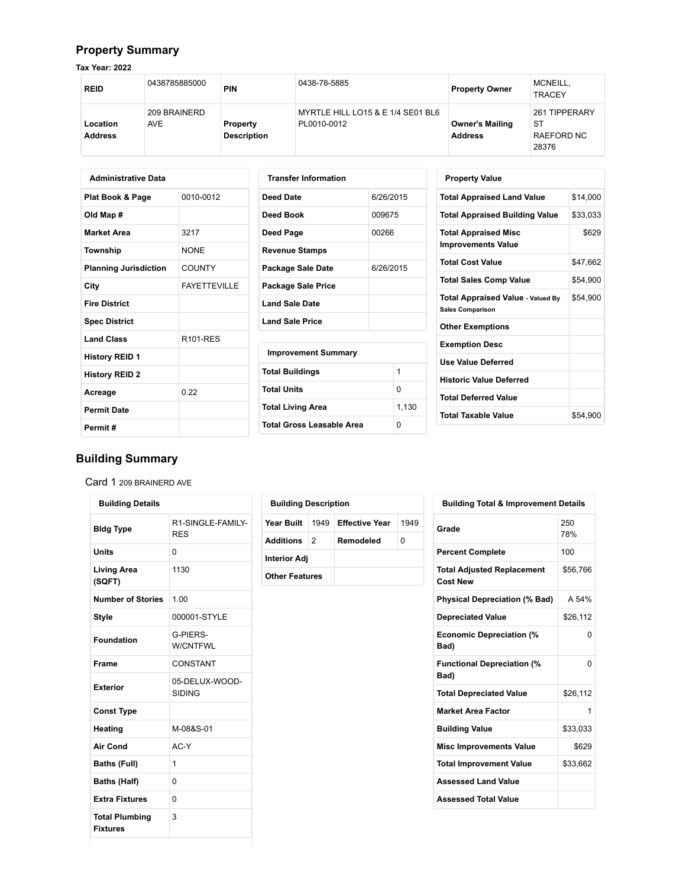## **Property Summary**

**Tax Year: 2022**

| <b>REID</b>                | 0438785885000              | <b>PIN</b>                     | 0438-78-5885                                     | <b>Property Owner</b>                    | MCNEILL,<br><b>TRACEY</b>                  |
|----------------------------|----------------------------|--------------------------------|--------------------------------------------------|------------------------------------------|--------------------------------------------|
| Location<br><b>Address</b> | 209 BRAINERD<br><b>AVE</b> | Property<br><b>Description</b> | MYRTLE HILL LO15 & E 1/4 SE01 BL6<br>PL0010-0012 | <b>Owner's Mailing</b><br><b>Address</b> | 261 TIPPERARY<br>ST<br>RAEFORD NC<br>28376 |

| <b>Administrative Data</b>   |                     |  |  |  |  |  |
|------------------------------|---------------------|--|--|--|--|--|
| Plat Book & Page             | 0010-0012           |  |  |  |  |  |
| Old Map #                    |                     |  |  |  |  |  |
| <b>Market Area</b>           | 3217                |  |  |  |  |  |
| Township                     | <b>NONE</b>         |  |  |  |  |  |
| <b>Planning Jurisdiction</b> | COUNTY              |  |  |  |  |  |
| City                         | <b>FAYFTTFVILLE</b> |  |  |  |  |  |
| <b>Fire District</b>         |                     |  |  |  |  |  |
| <b>Spec District</b>         |                     |  |  |  |  |  |
| <b>Land Class</b>            | <b>R101-RES</b>     |  |  |  |  |  |
| <b>History REID 1</b>        |                     |  |  |  |  |  |
| <b>History REID 2</b>        |                     |  |  |  |  |  |
| Acreage                      | 0.22                |  |  |  |  |  |
| <b>Permit Date</b>           |                     |  |  |  |  |  |
| Permit#                      |                     |  |  |  |  |  |

| <b>Transfer Information</b> |           |
|-----------------------------|-----------|
| Deed Date                   | 6/26/2015 |
| Deed Book                   | 009675    |
| Deed Page                   | 00266     |
| <b>Revenue Stamps</b>       |           |
| Package Sale Date           | 6/26/2015 |
| <b>Package Sale Price</b>   |           |
| <b>Land Sale Date</b>       |           |
| <b>Land Sale Price</b>      |           |
| <b>Improvement Summary</b>  |           |
| <b>Total Buildings</b>      | 1         |
| <b>Total Units</b>          | 0         |
| <b>Total Living Area</b>    | 1,130     |
| Total Gross Leasable Area   | ŋ         |

| <b>Property Value</b>                                               |          |
|---------------------------------------------------------------------|----------|
| <b>Total Appraised Land Value</b>                                   | \$14,000 |
| <b>Total Appraised Building Value</b>                               | \$33,033 |
| <b>Total Appraised Misc</b><br><b>Improvements Value</b>            | \$629    |
| <b>Total Cost Value</b>                                             | \$47,662 |
| <b>Total Sales Comp Value</b>                                       | \$54,900 |
| <b>Total Appraised Value - Valued By</b><br><b>Sales Comparison</b> | \$54,900 |
| <b>Other Exemptions</b>                                             |          |
| <b>Exemption Desc</b>                                               |          |
| <b>Use Value Deferred</b>                                           |          |
| <b>Historic Value Deferred</b>                                      |          |
| <b>Total Deferred Value</b>                                         |          |
| <b>Total Taxable Value</b>                                          | \$54.900 |

# **Building Summary**

Card 1 209 BRAINERD AVE

| <b>Building Details</b>         |  |  |  |  |  |
|---------------------------------|--|--|--|--|--|
| R1-SINGLE-FAMILY-<br><b>RFS</b> |  |  |  |  |  |
| O                               |  |  |  |  |  |
| 1130                            |  |  |  |  |  |
| 1.00                            |  |  |  |  |  |
| 000001-STYLE                    |  |  |  |  |  |
| G-PIERS-<br><b>W/CNTFWL</b>     |  |  |  |  |  |
| CONSTANT                        |  |  |  |  |  |
| 05-DELUX-WOOD-<br>SIDING        |  |  |  |  |  |
|                                 |  |  |  |  |  |
| M-08&S-01                       |  |  |  |  |  |
| AC-Y                            |  |  |  |  |  |
| 1                               |  |  |  |  |  |
| O                               |  |  |  |  |  |
| O                               |  |  |  |  |  |
| 3                               |  |  |  |  |  |
|                                 |  |  |  |  |  |

| <b>Building Description</b> |               |                       |      |  |  |  |  |
|-----------------------------|---------------|-----------------------|------|--|--|--|--|
| Year Built                  | 1949          | <b>Effective Year</b> | 1949 |  |  |  |  |
| Additions                   | $\mathcal{P}$ | Remodeled             | O    |  |  |  |  |
| <b>Interior Adj</b>         |               |                       |      |  |  |  |  |
| <b>Other Features</b>       |               |                       |      |  |  |  |  |

| <b>Building Total &amp; Improvement Details</b> |            |  |  |  |
|-------------------------------------------------|------------|--|--|--|
| Grade                                           | 250<br>78% |  |  |  |
| <b>Percent Complete</b>                         | 100        |  |  |  |
| Total Adjusted Replacement<br><b>Cost New</b>   | \$56,766   |  |  |  |
| <b>Physical Depreciation (% Bad)</b>            | A 54%      |  |  |  |
| <b>Depreciated Value</b>                        | \$26,112   |  |  |  |
| <b>Economic Depreciation (%</b><br>Bad)         | ი          |  |  |  |
| <b>Functional Depreciation (%</b><br>Bad)       | 0          |  |  |  |
| <b>Total Depreciated Value</b>                  | \$26,112   |  |  |  |
| <b>Market Area Factor</b>                       | 1          |  |  |  |
| <b>Building Value</b>                           | \$33,033   |  |  |  |
| <b>Misc Improvements Value</b>                  | \$629      |  |  |  |
| <b>Total Improvement Value</b>                  | \$33,662   |  |  |  |
| <b>Assessed Land Value</b>                      |            |  |  |  |
| <b>Assessed Total Value</b>                     |            |  |  |  |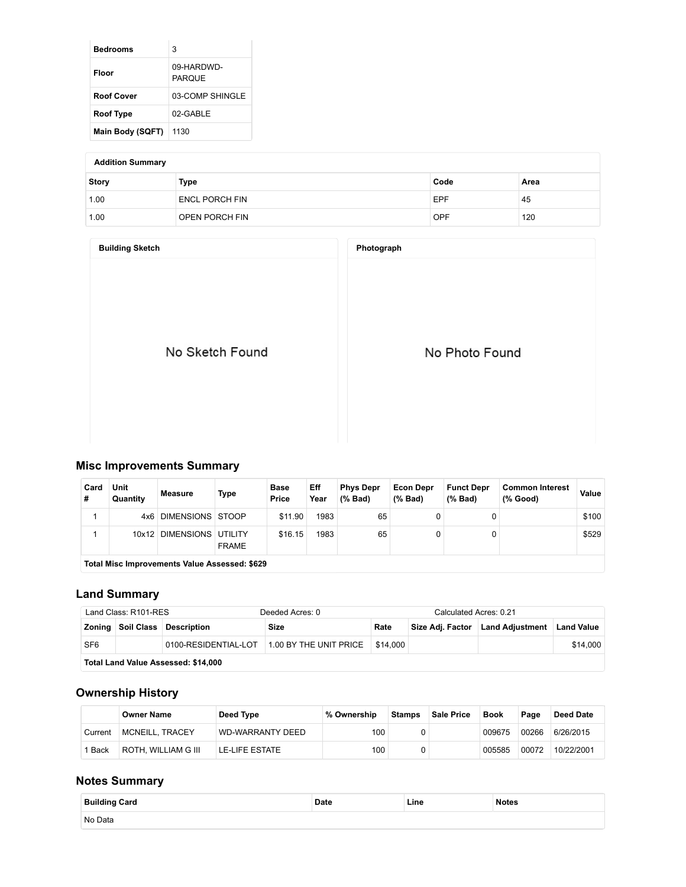| Bedrooms          | 3                           |
|-------------------|-----------------------------|
| Floor             | 09-HARDWD-<br><b>PAROUE</b> |
| <b>Roof Cover</b> | 03-COMP SHINGLE             |
| <b>Roof Type</b>  | 02-GABLE                    |
| Main Body (SQFT)  | 1130                        |

#### **Addition Summary**

| Story | Type                  | Code       | Area |
|-------|-----------------------|------------|------|
| 1.00  | <b>ENCL PORCH FIN</b> | EPF        | 45   |
| 1.00  | OPEN PORCH FIN        | <b>OPF</b> | 120  |

| <b>Building Sketch</b> | Photograph     |
|------------------------|----------------|
| No Sketch Found        | No Photo Found |

### **Misc Improvements Summary**

| Card<br># | Unit<br>Quantity                                     | <b>Measure</b>          | Type                    | <b>Base</b><br>Price | Eff<br>Year | <b>Phys Depr</b><br>$(%$ Bad) | <b>Econ Depr</b><br>$(%$ Bad) | <b>Funct Depr</b><br>$(\%$ Bad) | <b>Common Interest</b><br>(% Good) | Value |
|-----------|------------------------------------------------------|-------------------------|-------------------------|----------------------|-------------|-------------------------------|-------------------------------|---------------------------------|------------------------------------|-------|
|           | 4x6.                                                 | <b>DIMENSIONS STOOP</b> |                         | \$11.90              | 1983        | 65                            |                               |                                 |                                    | \$100 |
|           | 10x12                                                | <b>DIMENSIONS</b>       | UTILITY<br><b>FRAME</b> | \$16.15              | 1983        | 65                            |                               |                                 |                                    | \$529 |
|           | <b>Total Misc Improvements Value Assessed: \$629</b> |                         |                         |                      |             |                               |                               |                                 |                                    |       |

**Total Misc Improvements Value Assessed: \$629**

### **Land Summary**

| Land Class: R101-RES |                                     |                               | Deeded Acres: 0                             |          | Calculated Acres: 0.21 |                                  |                   |  |  |
|----------------------|-------------------------------------|-------------------------------|---------------------------------------------|----------|------------------------|----------------------------------|-------------------|--|--|
|                      |                                     | Zoning Soil Class Description | Size                                        | Rate     |                        | Size Adj. Factor Land Adjustment | <b>Land Value</b> |  |  |
| SF <sub>6</sub>      |                                     |                               | 0100-RESIDENTIAL-LOT 1.00 BY THE UNIT PRICE | \$14.000 |                        |                                  | \$14.000          |  |  |
|                      | Total Land Value Assessed: \$14,000 |                               |                                             |          |                        |                                  |                   |  |  |

# **Ownership History**

|         | <b>Owner Name</b>      | Deed Type               | % Ownership | <b>Stamps</b> | <b>Sale Price</b> | <b>Book</b> | Page  | Deed Date  |
|---------|------------------------|-------------------------|-------------|---------------|-------------------|-------------|-------|------------|
| Current | <b>MCNEILL, TRACEY</b> | <b>WD-WARRANTY DEED</b> | 100         |               |                   | 009675      | 00266 | 6/26/2015  |
| Back    | ROTH. WILLIAM G III    | LE-LIFE ESTATE          | 100         |               |                   | 005585      | 00072 | 10/22/2001 |

### **Notes Summary**

| <b>Building Card</b> | Date | Line | Notes |
|----------------------|------|------|-------|
| No Data              |      |      |       |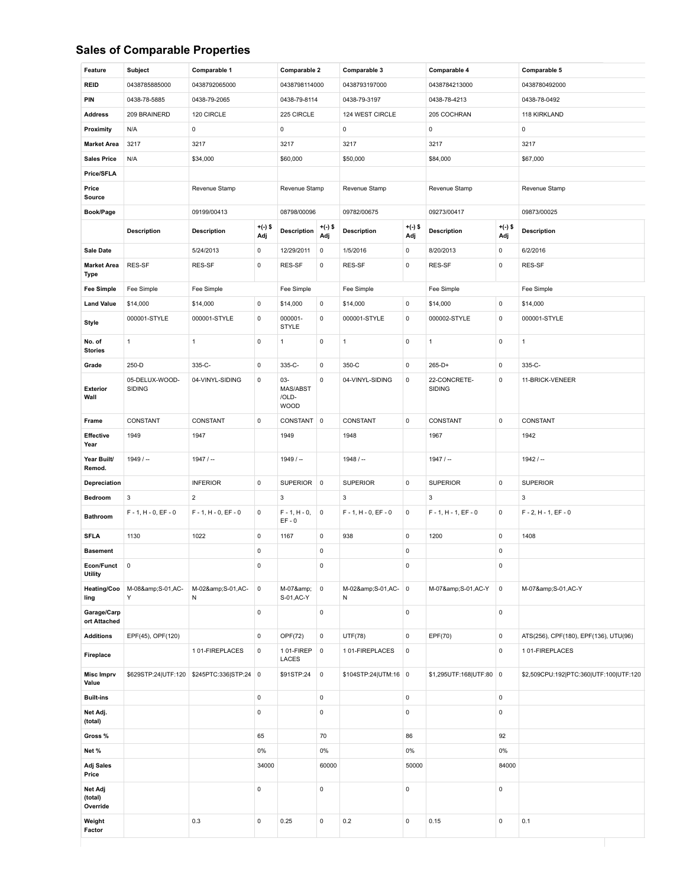#### **Sales of Comparable Properties**

| Feature                           | Subject                         | Comparable 1           |                  | Comparable 2                               |                  | Comparable 3           |                     | Comparable 4                  |                  | Comparable 5                           |  |
|-----------------------------------|---------------------------------|------------------------|------------------|--------------------------------------------|------------------|------------------------|---------------------|-------------------------------|------------------|----------------------------------------|--|
| <b>REID</b>                       | 0438785885000                   | 0438792065000          |                  | 0438798114000                              |                  | 0438793197000          |                     | 0438784213000                 |                  | 0438780492000                          |  |
| PIN                               | 0438-78-5885                    | 0438-79-2065           |                  | 0438-79-8114                               |                  | 0438-79-3197           |                     | 0438-78-4213                  |                  | 0438-78-0492                           |  |
| <b>Address</b>                    | 209 BRAINERD                    | 120 CIRCLE             |                  | 225 CIRCLE                                 |                  | 124 WEST CIRCLE        |                     | 205 COCHRAN                   |                  | 118 KIRKLAND                           |  |
| Proximity                         | N/A                             | 0                      |                  | 0                                          |                  | $\mathsf{O}\xspace$    |                     | $\mathsf 0$                   |                  | $\pmb{0}$                              |  |
| <b>Market Area</b>                | 3217                            | 3217                   |                  | 3217                                       |                  | 3217                   |                     | 3217                          |                  | 3217                                   |  |
| <b>Sales Price</b>                | N/A                             | \$34,000               |                  | \$60,000                                   |                  | \$50,000               |                     | \$84,000                      |                  | \$67,000                               |  |
| Price/SFLA                        |                                 |                        |                  |                                            |                  |                        |                     |                               |                  |                                        |  |
| Price<br>Source                   |                                 | Revenue Stamp          |                  | Revenue Stamp                              |                  | Revenue Stamp          |                     | Revenue Stamp                 |                  | Revenue Stamp                          |  |
| Book/Page                         |                                 | 09199/00413            |                  | 08798/00096                                |                  | 09782/00675            |                     | 09273/00417                   |                  | 09873/00025                            |  |
|                                   | <b>Description</b>              | <b>Description</b>     | $+(-)$ \$<br>Adj | <b>Description</b>                         | $+(-)$ \$<br>Adj | <b>Description</b>     | $+(-)$ \$<br>Adj    | <b>Description</b>            | $+(-)$ \$<br>Adj | <b>Description</b>                     |  |
| Sale Date                         |                                 | 5/24/2013              | $\pmb{0}$        | 12/29/2011                                 | $\pmb{0}$        | 1/5/2016               | $\mathsf{O}\xspace$ | 8/20/2013                     | $\pmb{0}$        | 6/2/2016                               |  |
| <b>Market Area</b><br><b>Type</b> | RES-SF                          | RES-SF                 | 0                | RES-SF                                     | 0                | RES-SF                 | $\mathsf{O}\xspace$ | RES-SF                        | $\pmb{0}$        | RES-SF                                 |  |
| <b>Fee Simple</b>                 | Fee Simple                      | Fee Simple             |                  | Fee Simple                                 |                  | Fee Simple             |                     | Fee Simple                    |                  | Fee Simple                             |  |
| <b>Land Value</b>                 | \$14,000                        | \$14,000               | $\mathbf 0$      | \$14,000                                   | 0                | \$14,000               | $\mathsf{O}\xspace$ | \$14,000                      | $\pmb{0}$        | \$14,000                               |  |
| <b>Style</b>                      | 000001-STYLE                    | 000001-STYLE           | $\mathsf 0$      | 000001-<br>STYLE                           | 0                | 000001-STYLE           | $\mathsf{O}\xspace$ | 000002-STYLE                  | $\mathbf 0$      | 000001-STYLE                           |  |
| No. of<br><b>Stories</b>          | $\mathbf{1}$                    | $\mathbf{1}$           | $\pmb{0}$        | $\mathbf{1}$                               | 0                | $\mathbf{1}$           | $\mathsf{O}\xspace$ | $\mathbf{1}$                  | $\mathsf 0$      | $\mathbf{1}$                           |  |
| Grade                             | 250-D                           | 335-C-                 | 0                | 335-C-                                     | 0                | 350-C                  | 0                   | $265-D+$                      | $\mathbf 0$      | 335-C-                                 |  |
| Exterior<br>Wall                  | 05-DELUX-WOOD-<br><b>SIDING</b> | 04-VINYL-SIDING        | $\mathsf 0$      | $03 -$<br>MAS/ABST<br>/OLD-<br><b>WOOD</b> | 0                | 04-VINYL-SIDING        | $\mathsf 0$         | 22-CONCRETE-<br><b>SIDING</b> | $\mathsf 0$      | 11-BRICK-VENEER                        |  |
| Frame                             | CONSTANT                        | CONSTANT               | $\mathsf 0$      | CONSTANT 0                                 |                  | CONSTANT               | $\mathsf{O}\xspace$ | CONSTANT                      | $\mathbf 0$      | CONSTANT                               |  |
| Effective<br>Year                 | 1949                            | 1947                   |                  | 1949                                       |                  | 1948                   |                     | 1967                          |                  | 1942                                   |  |
| Year Built/<br>Remod.             | $1949/ -$                       | $1947/ -$              |                  | $1949/ -$                                  |                  | $1948 / -$             |                     | $1947/ -$                     |                  | $1942/ -$                              |  |
| Depreciation                      |                                 | <b>INFERIOR</b>        | $\mathsf 0$      | SUPERIOR 0                                 |                  | <b>SUPERIOR</b>        | $\mathsf 0$         | <b>SUPERIOR</b>               | $\mathsf 0$      | <b>SUPERIOR</b>                        |  |
| Bedroom                           | 3                               | $\overline{2}$         |                  | $\mathbf{3}$                               |                  | $\mathbf{3}$           |                     | 3                             |                  | $\mathbf 3$                            |  |
| <b>Bathroom</b>                   | $F - 1$ , $H - 0$ , $EF - 0$    | $F - 1, H - 0, EF - 0$ | $\mathsf 0$      | $F - 1, H - 0,$<br>$EF - 0$                | $\pmb{0}$        | $F - 1, H - 0, EF - 0$ | 0                   | $F - 1$ , $H - 1$ , $EF - 0$  | $\mathbf 0$      | $F - 2$ , H - 1, EF - 0                |  |
| <b>SFLA</b>                       | 1130                            | 1022                   | $\pmb{0}$        | 1167                                       | 0                | 938                    | $\mathsf{O}\xspace$ | 1200                          | $\mathbf 0$      | 1408                                   |  |
| <b>Basement</b>                   |                                 |                        | 0                |                                            | 0                |                        | $\mathsf{O}\xspace$ |                               | $\mathbf 0$      |                                        |  |
| Econ/Funct<br><b>Utility</b>      | $\mathsf 0$                     |                        | 0                |                                            | 0                |                        | 0                   |                               | $\mathbf 0$      |                                        |  |
| Heating/Coo<br>ling               | M-08&S-01,AC-<br>Y              | M-02&S-01,AC-<br>Ν     | 0                | M-07&<br>S-01, AC-Y                        | $\pmb{0}$        | M-02&S-01,AC-<br>Ν     | $\mathbf 0$         | M-07&S-01,AC-Y                | $\mathbf 0$      | M-07&S-01,AC-Y                         |  |
| Garage/Carp<br>ort Attached       |                                 |                        | 0                |                                            | 0                |                        | $\mathsf{O}\xspace$ |                               | $\mathsf 0$      |                                        |  |
| <b>Additions</b>                  | EPF(45), OPF(120)               |                        | 0                | OPF(72)                                    | 0                | <b>UTF(78)</b>         | $\mathsf 0$         | EPF(70)                       | $\pmb{0}$        | ATS(256), CPF(180), EPF(136), UTU(96)  |  |
| Fireplace                         |                                 | 101-FIREPLACES         | $\pmb{0}$        | 101-FIREP<br>LACES                         | $\mathsf 0$      | 101-FIREPLACES         | $\mathbf 0$         |                               | $\mathsf 0$      | 101-FIREPLACES                         |  |
| <b>Misc Imprv</b><br>Value        | \$629STP:24 UTF:120             | \$245PTC:336 STP:24 0  |                  | \$91STP:24                                 | $\mathsf 0$      | \$104STP:24 UTM:16 0   |                     | \$1,295UTF:168 UTF:80 0       |                  | \$2,509CPU:192 PTC:360 UTF:100 UTF:120 |  |
| <b>Built-ins</b>                  |                                 |                        | 0                |                                            | 0                |                        | $\mathsf{O}\xspace$ |                               | $\mathsf 0$      |                                        |  |
| Net Adj.<br>(total)               |                                 |                        | 0                |                                            | 0                |                        | $\mathsf{O}\xspace$ |                               | $\mathbf 0$      |                                        |  |
| Gross %                           |                                 |                        | 65               |                                            | 70               |                        | 86                  |                               | 92               |                                        |  |
| Net %                             |                                 |                        | 0%               |                                            | $0\%$            |                        | 0%                  |                               | 0%               |                                        |  |
| <b>Adj Sales</b><br>Price         |                                 |                        | 34000            |                                            | 60000            |                        | 50000               |                               | 84000            |                                        |  |
| Net Adj<br>(total)<br>Override    |                                 |                        | 0                |                                            | 0                |                        | $\mathsf{O}\xspace$ |                               | 0                |                                        |  |
| Weight<br>Factor                  |                                 | 0.3                    | 0                | 0.25                                       | 0                | 0.2                    | 0                   | 0.15                          | $\mathsf 0$      | 0.1                                    |  |